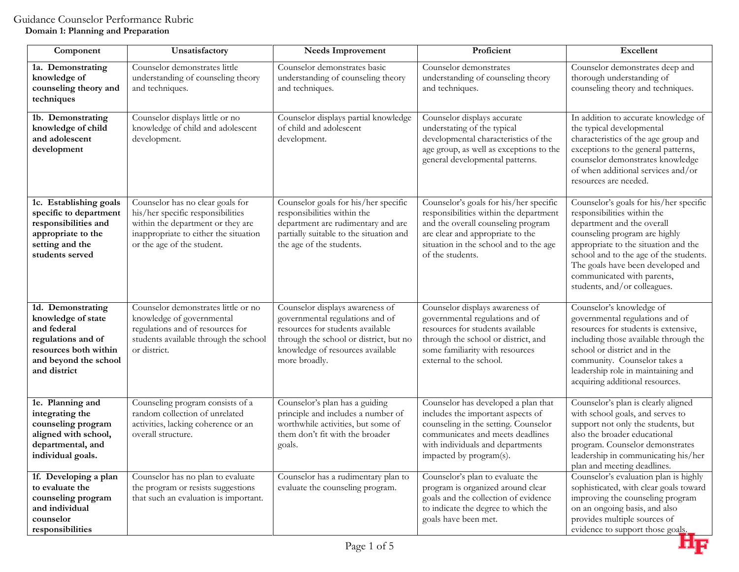## **Domain 1: Planning and Preparation**

| Component                                                                                                                                      | Unsatisfactory                                                                                                                                                                    | <b>Needs Improvement</b>                                                                                                                                                                              | Proficient                                                                                                                                                                                                               | Excellent                                                                                                                                                                                                                                                                                                                 |
|------------------------------------------------------------------------------------------------------------------------------------------------|-----------------------------------------------------------------------------------------------------------------------------------------------------------------------------------|-------------------------------------------------------------------------------------------------------------------------------------------------------------------------------------------------------|--------------------------------------------------------------------------------------------------------------------------------------------------------------------------------------------------------------------------|---------------------------------------------------------------------------------------------------------------------------------------------------------------------------------------------------------------------------------------------------------------------------------------------------------------------------|
| 1a. Demonstrating<br>knowledge of<br>counseling theory and<br>techniques                                                                       | Counselor demonstrates little<br>understanding of counseling theory<br>and techniques.                                                                                            | Counselor demonstrates basic<br>understanding of counseling theory<br>and techniques.                                                                                                                 | Counselor demonstrates<br>understanding of counseling theory<br>and techniques.                                                                                                                                          | Counselor demonstrates deep and<br>thorough understanding of<br>counseling theory and techniques.                                                                                                                                                                                                                         |
| 1b. Demonstrating<br>knowledge of child<br>and adolescent<br>development                                                                       | Counselor displays little or no<br>knowledge of child and adolescent<br>development.                                                                                              | Counselor displays partial knowledge<br>of child and adolescent<br>development.                                                                                                                       | Counselor displays accurate<br>understating of the typical<br>developmental characteristics of the<br>age group, as well as exceptions to the<br>general developmental patterns.                                         | In addition to accurate knowledge of<br>the typical developmental<br>characteristics of the age group and<br>exceptions to the general patterns,<br>counselor demonstrates knowledge<br>of when additional services and/or<br>resources are needed.                                                                       |
| 1c. Establishing goals<br>specific to department<br>responsibilities and<br>appropriate to the<br>setting and the<br>students served           | Counselor has no clear goals for<br>his/her specific responsibilities<br>within the department or they are<br>inappropriate to either the situation<br>or the age of the student. | Counselor goals for his/her specific<br>responsibilities within the<br>department are rudimentary and are<br>partially suitable to the situation and<br>the age of the students.                      | Counselor's goals for his/her specific<br>responsibilities within the department<br>and the overall counseling program<br>are clear and appropriate to the<br>situation in the school and to the age<br>of the students. | Counselor's goals for his/her specific<br>responsibilities within the<br>department and the overall<br>counseling program are highly<br>appropriate to the situation and the<br>school and to the age of the students.<br>The goals have been developed and<br>communicated with parents,<br>students, and/or colleagues. |
| 1d. Demonstrating<br>knowledge of state<br>and federal<br>regulations and of<br>resources both within<br>and beyond the school<br>and district | Counselor demonstrates little or no<br>knowledge of governmental<br>regulations and of resources for<br>students available through the school<br>or district.                     | Counselor displays awareness of<br>governmental regulations and of<br>resources for students available<br>through the school or district, but no<br>knowledge of resources available<br>more broadly. | Counselor displays awareness of<br>governmental regulations and of<br>resources for students available<br>through the school or district, and<br>some familiarity with resources<br>external to the school.              | Counselor's knowledge of<br>governmental regulations and of<br>resources for students is extensive,<br>including those available through the<br>school or district and in the<br>community. Counselor takes a<br>leadership role in maintaining and<br>acquiring additional resources.                                    |
| 1e. Planning and<br>integrating the<br>counseling program<br>aligned with school,<br>departmental, and<br>individual goals.                    | Counseling program consists of a<br>random collection of unrelated<br>activities, lacking coherence or an<br>overall structure.                                                   | Counselor's plan has a guiding<br>principle and includes a number of<br>worthwhile activities, but some of<br>them don't fit with the broader<br>goals.                                               | Counselor has developed a plan that<br>includes the important aspects of<br>counseling in the setting. Counselor<br>communicates and meets deadlines<br>with individuals and departments<br>impacted by program(s).      | Counselor's plan is clearly aligned<br>with school goals, and serves to<br>support not only the students, but<br>also the broader educational<br>program. Counselor demonstrates<br>leadership in communicating his/her<br>plan and meeting deadlines.                                                                    |
| 1f. Developing a plan<br>to evaluate the<br>counseling program<br>and individual<br>counselor<br>responsibilities                              | Counselor has no plan to evaluate<br>the program or resists suggestions<br>that such an evaluation is important.                                                                  | Counselor has a rudimentary plan to<br>evaluate the counseling program.                                                                                                                               | Counselor's plan to evaluate the<br>program is organized around clear<br>goals and the collection of evidence<br>to indicate the degree to which the<br>goals have been met.                                             | Counselor's evaluation plan is highly<br>sophisticated, with clear goals toward<br>improving the counseling program<br>on an ongoing basis, and also<br>provides multiple sources of<br>evidence to support those goals.                                                                                                  |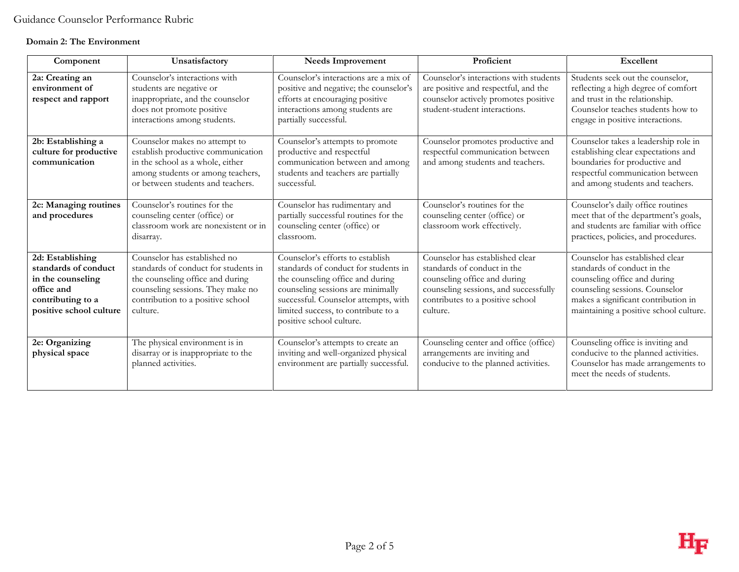## **Domain 2: The Environment**

| Component                                                                                                                   | Unsatisfactory                                                                                                                                                                                 | <b>Needs Improvement</b>                                                                                                                                                                                                                                     | Proficient                                                                                                                                                                              | <b>Excellent</b>                                                                                                                                                                                                  |
|-----------------------------------------------------------------------------------------------------------------------------|------------------------------------------------------------------------------------------------------------------------------------------------------------------------------------------------|--------------------------------------------------------------------------------------------------------------------------------------------------------------------------------------------------------------------------------------------------------------|-----------------------------------------------------------------------------------------------------------------------------------------------------------------------------------------|-------------------------------------------------------------------------------------------------------------------------------------------------------------------------------------------------------------------|
| 2a: Creating an<br>environment of<br>respect and rapport                                                                    | Counselor's interactions with<br>students are negative or<br>inappropriate, and the counselor<br>does not promote positive<br>interactions among students.                                     | Counselor's interactions are a mix of<br>positive and negative; the counselor's<br>efforts at encouraging positive<br>interactions among students are<br>partially successful.                                                                               | Counselor's interactions with students<br>are positive and respectful, and the<br>counselor actively promotes positive<br>student-student interactions.                                 | Students seek out the counselor,<br>reflecting a high degree of comfort<br>and trust in the relationship.<br>Counselor teaches students how to<br>engage in positive interactions.                                |
| 2b: Establishing a<br>culture for productive<br>communication                                                               | Counselor makes no attempt to<br>establish productive communication<br>in the school as a whole, either<br>among students or among teachers,<br>or between students and teachers.              | Counselor's attempts to promote<br>productive and respectful<br>communication between and among<br>students and teachers are partially<br>successful.                                                                                                        | Counselor promotes productive and<br>respectful communication between<br>and among students and teachers.                                                                               | Counselor takes a leadership role in<br>establishing clear expectations and<br>boundaries for productive and<br>respectful communication between<br>and among students and teachers.                              |
| 2c: Managing routines<br>and procedures                                                                                     | Counselor's routines for the<br>counseling center (office) or<br>classroom work are nonexistent or in<br>disarray.                                                                             | Counselor has rudimentary and<br>partially successful routines for the<br>counseling center (office) or<br>classroom.                                                                                                                                        | Counselor's routines for the<br>counseling center (office) or<br>classroom work effectively.                                                                                            | Counselor's daily office routines<br>meet that of the department's goals,<br>and students are familiar with office<br>practices, policies, and procedures.                                                        |
| 2d: Establishing<br>standards of conduct<br>in the counseling<br>office and<br>contributing to a<br>positive school culture | Counselor has established no<br>standards of conduct for students in<br>the counseling office and during<br>counseling sessions. They make no<br>contribution to a positive school<br>culture. | Counselor's efforts to establish<br>standards of conduct for students in<br>the counseling office and during<br>counseling sessions are minimally<br>successful. Counselor attempts, with<br>limited success, to contribute to a<br>positive school culture. | Counselor has established clear<br>standards of conduct in the<br>counseling office and during<br>counseling sessions, and successfully<br>contributes to a positive school<br>culture. | Counselor has established clear<br>standards of conduct in the<br>counseling office and during<br>counseling sessions. Counselor<br>makes a significant contribution in<br>maintaining a positive school culture. |
| 2e: Organizing<br>physical space                                                                                            | The physical environment is in<br>disarray or is inappropriate to the<br>planned activities.                                                                                                   | Counselor's attempts to create an<br>inviting and well-organized physical<br>environment are partially successful.                                                                                                                                           | Counseling center and office (office)<br>arrangements are inviting and<br>conducive to the planned activities.                                                                          | Counseling office is inviting and<br>conducive to the planned activities.<br>Counselor has made arrangements to<br>meet the needs of students.                                                                    |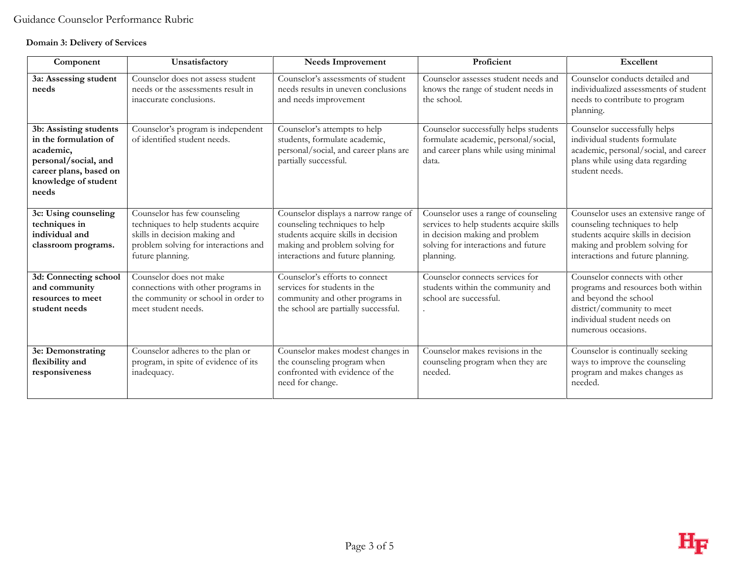## **Domain 3: Delivery of Services**

| Component                                                                                                                                       | Unsatisfactory                                                                                                                                                   | <b>Needs Improvement</b>                                                                                                                                                            | Proficient                                                                                                                                                             | Excellent                                                                                                                                                                           |
|-------------------------------------------------------------------------------------------------------------------------------------------------|------------------------------------------------------------------------------------------------------------------------------------------------------------------|-------------------------------------------------------------------------------------------------------------------------------------------------------------------------------------|------------------------------------------------------------------------------------------------------------------------------------------------------------------------|-------------------------------------------------------------------------------------------------------------------------------------------------------------------------------------|
| 3a: Assessing student<br>needs                                                                                                                  | Counselor does not assess student<br>needs or the assessments result in<br>inaccurate conclusions.                                                               | Counselor's assessments of student<br>needs results in uneven conclusions<br>and needs improvement                                                                                  | Counselor assesses student needs and<br>knows the range of student needs in<br>the school.                                                                             | Counselor conducts detailed and<br>individualized assessments of student<br>needs to contribute to program<br>planning.                                                             |
| 3b: Assisting students<br>in the formulation of<br>academic,<br>personal/social, and<br>career plans, based on<br>knowledge of student<br>needs | Counselor's program is independent<br>of identified student needs.                                                                                               | Counselor's attempts to help<br>students, formulate academic,<br>personal/social, and career plans are<br>partially successful.                                                     | Counselor successfully helps students<br>formulate academic, personal/social,<br>and career plans while using minimal<br>data.                                         | Counselor successfully helps<br>individual students formulate<br>academic, personal/social, and career<br>plans while using data regarding<br>student needs.                        |
| 3c: Using counseling<br>techniques in<br>individual and<br>classroom programs.                                                                  | Counselor has few counseling<br>techniques to help students acquire<br>skills in decision making and<br>problem solving for interactions and<br>future planning. | Counselor displays a narrow range of<br>counseling techniques to help<br>students acquire skills in decision<br>making and problem solving for<br>interactions and future planning. | Counselor uses a range of counseling<br>services to help students acquire skills<br>in decision making and problem<br>solving for interactions and future<br>planning. | Counselor uses an extensive range of<br>counseling techniques to help<br>students acquire skills in decision<br>making and problem solving for<br>interactions and future planning. |
| 3d: Connecting school<br>and community<br>resources to meet<br>student needs                                                                    | Counselor does not make<br>connections with other programs in<br>the community or school in order to<br>meet student needs.                                      | Counselor's efforts to connect<br>services for students in the<br>community and other programs in<br>the school are partially successful.                                           | Counselor connects services for<br>students within the community and<br>school are successful.                                                                         | Counselor connects with other<br>programs and resources both within<br>and beyond the school<br>district/community to meet<br>individual student needs on<br>numerous occasions.    |
| 3e: Demonstrating<br>flexibility and<br>responsiveness                                                                                          | Counselor adheres to the plan or<br>program, in spite of evidence of its<br>inadequacy.                                                                          | Counselor makes modest changes in<br>the counseling program when<br>confronted with evidence of the<br>need for change.                                                             | Counselor makes revisions in the<br>counseling program when they are<br>needed.                                                                                        | Counselor is continually seeking<br>ways to improve the counseling<br>program and makes changes as<br>needed.                                                                       |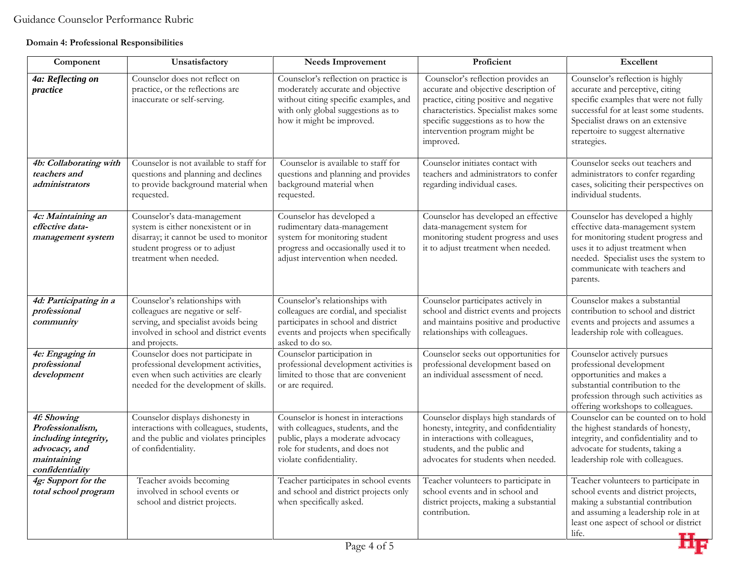## **Domain 4: Professional Responsibilities**

| Component                                                                                                  | Unsatisfactory                                                                                                                                                         | <b>Needs Improvement</b>                                                                                                                                                               | Proficient                                                                                                                                                                                                                                          | <b>Excellent</b>                                                                                                                                                                                                                               |
|------------------------------------------------------------------------------------------------------------|------------------------------------------------------------------------------------------------------------------------------------------------------------------------|----------------------------------------------------------------------------------------------------------------------------------------------------------------------------------------|-----------------------------------------------------------------------------------------------------------------------------------------------------------------------------------------------------------------------------------------------------|------------------------------------------------------------------------------------------------------------------------------------------------------------------------------------------------------------------------------------------------|
| 4a: Reflecting on<br>practice                                                                              | Counselor does not reflect on<br>practice, or the reflections are<br>inaccurate or self-serving.                                                                       | Counselor's reflection on practice is<br>moderately accurate and objective<br>without citing specific examples, and<br>with only global suggestions as to<br>how it might be improved. | Counselor's reflection provides an<br>accurate and objective description of<br>practice, citing positive and negative<br>characteristics. Specialist makes some<br>specific suggestions as to how the<br>intervention program might be<br>improved. | Counselor's reflection is highly<br>accurate and perceptive, citing<br>specific examples that were not fully<br>successful for at least some students.<br>Specialist draws on an extensive<br>repertoire to suggest alternative<br>strategies. |
| 4b: Collaborating with<br>teachers and<br>administrators                                                   | Counselor is not available to staff for<br>questions and planning and declines<br>to provide background material when<br>requested.                                    | Counselor is available to staff for<br>questions and planning and provides<br>background material when<br>requested.                                                                   | Counselor initiates contact with<br>teachers and administrators to confer<br>regarding individual cases.                                                                                                                                            | Counselor seeks out teachers and<br>administrators to confer regarding<br>cases, soliciting their perspectives on<br>individual students.                                                                                                      |
| 4c: Maintaining an<br>effective data-<br>management system                                                 | Counselor's data-management<br>system is either nonexistent or in<br>disarray; it cannot be used to monitor<br>student progress or to adjust<br>treatment when needed. | Counselor has developed a<br>rudimentary data-management<br>system for monitoring student<br>progress and occasionally used it to<br>adjust intervention when needed.                  | Counselor has developed an effective<br>data-management system for<br>monitoring student progress and uses<br>it to adjust treatment when needed.                                                                                                   | Counselor has developed a highly<br>effective data-management system<br>for monitoring student progress and<br>uses it to adjust treatment when<br>needed. Specialist uses the system to<br>communicate with teachers and<br>parents.          |
| 4d: Participating in a<br>professional<br>community                                                        | Counselor's relationships with<br>colleagues are negative or self-<br>serving, and specialist avoids being<br>involved in school and district events<br>and projects.  | Counselor's relationships with<br>colleagues are cordial, and specialist<br>participates in school and district<br>events and projects when specifically<br>asked to do so.            | Counselor participates actively in<br>school and district events and projects<br>and maintains positive and productive<br>relationships with colleagues.                                                                                            | Counselor makes a substantial<br>contribution to school and district<br>events and projects and assumes a<br>leadership role with colleagues.                                                                                                  |
| 4e: Engaging in<br>professional<br>development                                                             | Counselor does not participate in<br>professional development activities,<br>even when such activities are clearly<br>needed for the development of skills.            | Counselor participation in<br>professional development activities is<br>limited to those that are convenient<br>or are required.                                                       | Counselor seeks out opportunities for<br>professional development based on<br>an individual assessment of need.                                                                                                                                     | Counselor actively pursues<br>professional development<br>opportunities and makes a<br>substantial contribution to the<br>profession through such activities as<br>offering workshops to colleagues.                                           |
| 4f: Showing<br>Professionalism,<br>including integrity,<br>advocacy, and<br>maintaining<br>confidentiality | Counselor displays dishonesty in<br>interactions with colleagues, students,<br>and the public and violates principles<br>of confidentiality.                           | Counselor is honest in interactions<br>with colleagues, students, and the<br>public, plays a moderate advocacy<br>role for students, and does not<br>violate confidentiality.          | Counselor displays high standards of<br>honesty, integrity, and confidentiality<br>in interactions with colleagues,<br>students, and the public and<br>advocates for students when needed.                                                          | Counselor can be counted on to hold<br>the highest standards of honesty,<br>integrity, and confidentiality and to<br>advocate for students, taking a<br>leadership role with colleagues.                                                       |
| 4g: Support for the<br>total school program                                                                | Teacher avoids becoming<br>involved in school events or<br>school and district projects.                                                                               | Teacher participates in school events<br>and school and district projects only<br>when specifically asked.                                                                             | Teacher volunteers to participate in<br>school events and in school and<br>district projects, making a substantial<br>contribution.                                                                                                                 | Teacher volunteers to participate in<br>school events and district projects,<br>making a substantial contribution<br>and assuming a leadership role in at<br>least one aspect of school or district<br>life.<br>7 H F                          |